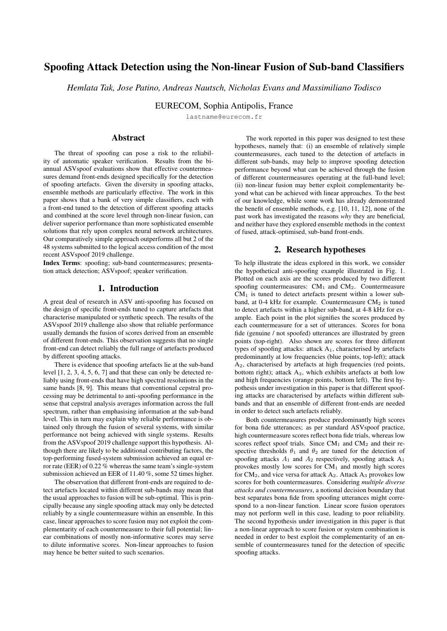# Spoofing Attack Detection using the Non-linear Fusion of Sub-band Classifiers

*Hemlata Tak, Jose Patino, Andreas Nautsch, Nicholas Evans and Massimiliano Todisco*

EURECOM, Sophia Antipolis, France

lastname@eurecom.fr

# Abstract

The threat of spoofing can pose a risk to the reliability of automatic speaker verification. Results from the biannual ASVspoof evaluations show that effective countermeasures demand front-ends designed specifically for the detection of spoofing artefacts. Given the diversity in spoofing attacks, ensemble methods are particularly effective. The work in this paper shows that a bank of very simple classifiers, each with a front-end tuned to the detection of different spoofing attacks and combined at the score level through non-linear fusion, can deliver superior performance than more sophisticated ensemble solutions that rely upon complex neural network architectures. Our comparatively simple approach outperforms all but 2 of the 48 systems submitted to the logical access condition of the most recent ASVspoof 2019 challenge.

Index Terms: spoofing; sub-band countermeasures; presentation attack detection; ASVspoof; speaker verification.

# 1. Introduction

A great deal of research in ASV anti-spoofing has focused on the design of specific front-ends tuned to capture artefacts that characterise manipulated or synthetic speech. The results of the ASVspoof 2019 challenge also show that reliable performance usually demands the fusion of scores derived from an ensemble of different front-ends. This observation suggests that no single front-end can detect reliably the full range of artefacts produced by different spoofing attacks.

There is evidence that spoofing artefacts lie at the sub-band level [\[1,](#page-4-0) [2,](#page-4-1) [3,](#page-4-2) [4,](#page-4-3) [5,](#page-4-4) [6,](#page-4-5) [7\]](#page-4-6) and that these can only be detected reliably using front-ends that have high spectral resolutions in the same bands [\[8,](#page-4-7) [9\]](#page-4-8). This means that conventional cepstral processing may be detrimental to anti-spoofing performance in the sense that cepstral analysis averages information across the full spectrum, rather than emphasising information at the sub-band level. This in turn may explain why reliable performance is obtained only through the fusion of several systems, with similar performance not being achieved with single systems. Results from the ASVspoof 2019 challenge support this hypothesis. Although there are likely to be additional contributing factors, the top-performing fused-system submission achieved an equal error rate (EER) of 0.22 % whereas the same team's single-system submission achieved an EER of 11.40 %, some 52 times higher.

The observation that different front-ends are required to detect artefacts located within different sub-bands may mean that the usual approaches to fusion will be sub-optimal. This is principally because any single spoofing attack may only be detected reliably by a single countermeasure within an ensemble. In this case, linear approaches to score fusion may not exploit the complementarity of each countermeasure to their full potential; linear combinations of mostly non-informative scores may serve to dilute informative scores. Non-linear approaches to fusion may hence be better suited to such scenarios.

The work reported in this paper was designed to test these hypotheses, namely that: (i) an ensemble of relatively simple countermeasures, each tuned to the detection of artefacts in different sub-bands, may help to improve spoofing detection performance beyond what can be achieved through the fusion of different countermeasures operating at the full-band level; (ii) non-linear fusion may better exploit complementarity beyond what can be achieved with linear approaches. To the best of our knowledge, while some work has already demonstrated the benefit of ensemble methods, e.g. [\[10,](#page-4-9) [11,](#page-4-10) [12\]](#page-4-11), none of the past work has investigated the reasons *why* they are beneficial, and neither have they explored ensemble methods in the context of fused, attack-optimised, sub-band front-ends.

# 2. Research hypotheses

To help illustrate the ideas explored in this work, we consider the hypothetical anti-spoofing example illustrated in Fig. [1.](#page-1-0) Plotted on each axis are the scores produced by two different spoofing countermeasures:  $CM<sub>1</sub>$  and  $CM<sub>2</sub>$ . Countermeasure  $CM<sub>1</sub>$  is tuned to detect artefacts present within a lower subband, at 0-4 kHz for example. Countermeasure  $CM<sub>2</sub>$  is tuned to detect artefacts within a higher sub-band, at 4-8 kHz for example. Each point in the plot signifies the scores produced by each countermeasure for a set of utterances. Scores for bona fide (genuine / not spoofed) utterances are illustrated by green points (top-right). Also shown are scores for three different types of spoofing attacks: attack  $A_1$ , characterised by artefacts predominantly at low frequencies (blue points, top-left); attack A2, characterised by artefacts at high frequencies (red points, bottom right); attack  $A_3$ , which exhibits artefacts at both low and high frequencies (orange points, bottom left). The first hypothesis under investigation in this paper is that different spoofing attacks are characterised by artefacts within different subbands and that an ensemble of different front-ends are needed in order to detect such artefacts reliably.

Both countermeasures produce predominantly high scores for bona fide utterances; as per standard ASVspoof practice, high countermeasure scores reflect bona fide trials, whereas low scores reflect spoof trials. Since  $CM_1$  and  $CM_2$  and their respective thresholds  $\theta_1$  and  $\theta_2$  are tuned for the detection of spoofing attacks  $A_1$  and  $A_2$  respectively, spoofing attack  $A_1$ provokes mostly low scores for  $CM<sub>1</sub>$  and mostly high scores for  $CM_2$ , and vice versa for attack  $A_2$ . Attack  $A_3$  provokes low scores for both countermeasures. Considering *multiple diverse attacks and countermeasures*, a notional decision boundary that best separates bona fide from spoofing utterances might correspond to a non-linear function. Linear score fusion operators may not perform well in this case, leading to poor reliability. The second hypothesis under investigation in this paper is that a non-linear approach to score fusion or system combination is needed in order to best exploit the complementarity of an ensemble of countermeasures tuned for the detection of specific spoofing attacks.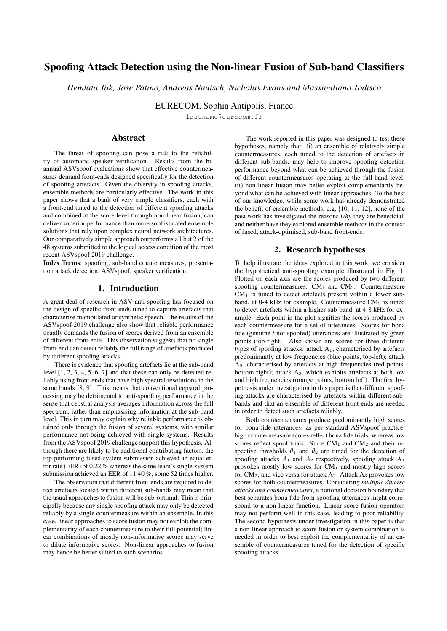<span id="page-1-0"></span>

Figure 1: *A scatter plot of scores for countermeasures CM*<sup>1</sup> *and CM*2*. Clusters correspond to bona fide utterances (green) and three spoofing attacks (A1-blue, A2-red, A3-orange). The dashed black line indicates a non-linear decision boundary that best separates bona fide from spoofed utterances.*

# 3. Experimental setup

Experiments were performed with the logical access (LA) partition of the ASVspoof 2019 database and standard protocols [\[13,](#page-4-12) [14\]](#page-4-13). Sub-band analysis and fusion experiments are furthermore based upon one of the two standard baselines. The database, baseline and assessment metric are all described here.

### 3.1. Database and metrics

The ASVspoof 2019 LA database consists of three independent partitions: train; development; evaluation. Spoofed speech in each dataset is generated using a set of different speech synthesis and voice conversion algorithms [\[14\]](#page-4-13). There is a total of 19 different spoofing attacks. Attacks in the training and development set were created with a set of 6 different algorithms (A01- A06), whereas those in the evaluation set were created with a set of 13 algorithms (A07-A19). The three partitions are used according to standard ASVspoof practice [\[15\]](#page-4-14).

The primary metric used in this work is the minimum normalised tandem detection cost function (t-DCF) metric [\[16,](#page-4-15) [17\]](#page-4-16). The t-DCF reflects the impact of spoofing and countermeasures (CMs) upon the reliability of an automatic speaker verification (ASV) system. To give a more intuitive impression of countermeasure performance, results are also reported in terms of the pooled equal error rate (EER) computed using [\[18\]](#page-4-17).

### <span id="page-1-1"></span>3.2. Baselines

The ASVspoof 2019 baseline systems use either constant Q cepstral coefficient (CQCC) [\[19,](#page-4-18) [20\]](#page-4-19) or linear frequency cepstral coefficient (LFCC) [\[1\]](#page-4-0) front-ends and a common Gaussian mixture model (GMM) back-end. Both LFCC-GMM and CQCC-GMM baseline systems are described in full in [\[13,](#page-4-12) [15\]](#page-4-14). While results for both baselines are reported in this paper, and while most of our group's recent work is based upon constant Q transform (CQT) representations [\[21\]](#page-4-20), for reasons discussed later, experimental work reported here is all based upon modifications to the LFCC front-end. The baseline LFCC front-end configuration includes 20ms frame-blocking with 10ms shift, a filterbank with 20 linearly-scaled filters and 20 static, velocity () and acceleration () coefficients, thereby giving 60dimensional feature vectors.

The GMM back-end classifier has two 512-component Gaussian models. The first is a model of bona fide speech whereas the second is a model of spoofed speech, with both being learned using bona fide and spoofed speech data from the ASVspoof 2019 LA training partition. Scores are log-likelihood ratios (LLRs) computed in the usual way.

## 4. Sub-band front-ends

Our recent work [\[9\]](#page-4-8) showed that spoofing artefacts reside at the sub-band level and that these are best detected with front-ends that exhibit a high spectral resolution within the same sub-band. That work used two different CQCC front-ends that were tuned to increase the spectral resolution at either low or high frequencies. The current work extends this idea by considering an ensemble of classifiers with each one being tuned for the detection of a set of specific spoofing attacks and the associated artefacts *no matter where they are in the spectrum.* Since the CQT has a non-linear spectral resolution [\[21,](#page-4-20) [22\]](#page-4-21) which is difficult to tune to specific sub-bands, the work was performed by adapting the baseline LFCC front-end described in Section [3.2.](#page-1-1)

Described here is the strategy of spectral resolution and front-end tuning at the sub-band level. Also presented are results for each front-end when used with a GMM back-end and tested against each spoofing attack in the ASVspoof 2019 LA database.

#### 4.1. Spectral resolution

Use of a spectral resolution that is *too* high will result in noisy features. Hence, before sub-band optimisation, we set out first to optimise the spectral resolution at the full-band level. This work was performed using the the full ASVspoof 2019 LA training and development subsets.

While other techniques could also have been applied, e.g. zero padding, we simply modified the baseline LFCC frontend (Sec. [3.2\)](#page-1-1) to use a 30 ms window with a 15 ms shift and used a 1024-point Fourier transform. The resolution was then decreased using a filterbank in the usual fashion with a number of filters  $N$  [\[23\]](#page-4-22). For any one experiment, training and development data were processed with the given front-end before the GMM back-end was re-learned and used to process the development data in otherwise identical fashion to the baseline.

Results depicted in Table [1](#page-2-0) show CM performance in terms of the min t-DCF and EER against the number  $N$  of filterbank filters (first 3 columns). For  $N > 30$  filters, both the min t-DCF and the EER are zero. An alternative approach to optimisation is hence necessary. We elected arbitrarily to use the Bhattacharyya distance [\[24\]](#page-4-23) between the CM score distributions for bona fide and spoofed trials given by:

$$
D_B(b,s) = \frac{1}{4} ln \left( \frac{1}{4} \left( \frac{\sigma_b^2}{\sigma_s^2} + \frac{\sigma_s^2}{\sigma_b^2} + 2 \right) \right) + \frac{1}{4} \left( \frac{(\mu_b - \mu_s)^2}{\sigma_b^2 + \sigma_s^2} \right),
$$

where subscripts  $b$  and  $s$  indicate parameters for bona fide and spoofed score distributions and where  $\mu$  and  $\sigma$  refer to the means and standard deviations respectively. Results in the last column of Table [1](#page-2-0) show that the distance between score distributions increases for  $N > 30$  filters, but with little gain beyond  $N = 70$  filters, which is the configuration used for all further experiments reported in this paper.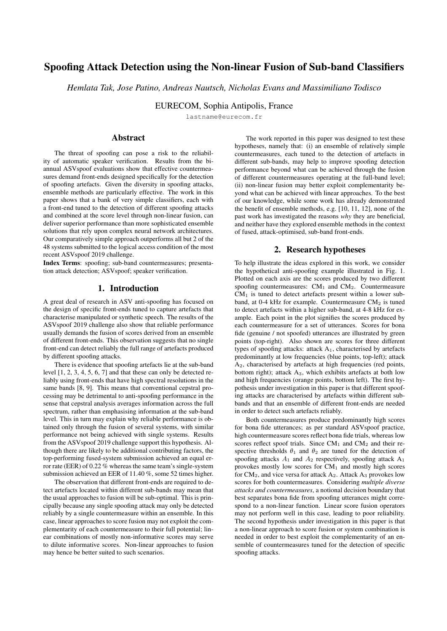<span id="page-2-0"></span>Table 1: *min t-DCF, EER and Bhattacharyya distance between bona fide and spoofed score distributions for different numbers of subband filters . Baseline configuration illustrated in bold; selected configuration in italics.*

|     | Filters $(N)$ min t-DCF EER $(\%)$ |      | Dв     |
|-----|------------------------------------|------|--------|
| 20  | 0.2110                             | 2.71 | 0.1338 |
| 30  | 0.0000                             | 0.79 | 0.1706 |
| 40  | 0.0000                             | 0.00 | 0.1770 |
| 50  | 0.0000                             | 0.00 | 0.1785 |
| 60  | 0.0000                             | 0.00 | 0.1793 |
| 70  | 0.0000                             | 0.00 | 0.1826 |
| 80  | 0.0000                             | 0.00 | 0.1788 |
| 90  | 0.0000                             | 0.00 | 0.1823 |
| 100 | 0.0000                             | 0.00 | 0.1830 |
| 120 | 0.0000                             | 0.00 | 0.1820 |

#### 4.2. Centre of Mass Function

Attack-specific, sub-band front-ends are designed using heatmap visualisations [\[9\]](#page-4-8) which show CM performance at the subband level. An example for the A04 attack is illustrated in Fig. [2.](#page-2-1) The heat-map colour signifies CM performance in terms of t-DCF for a front-end with cut-in and cut-off frequencies of  $f_{\text{min}}$  (x-axis) and  $f_{\text{max}}$  (y-axis) respectively.

We used the centre-of-mass (CoM) approach [\[25\]](#page-4-24) to identify a single point in the heat-map and hence to define a specific sub-band for the detection of each attack in the development subset (A01–A06). The CoM is a crude means of coping with a noisy surface containing multiple minima. The CoM of a distribution of mass in space is the unique point where the weighted relative position of the distributed mass sums to zero. We consider the 2D heat-map as a system of particles  $P_i$  where  $i = 1, ..., n$ . Each particle has coordinates  $r_i = [f'_{\text{min}}, f'_{\text{max}}]$  and mass  $m_i = (\text{min t-DCF}_i)^{-1}$ . The coordinates  $R = [f_{\min}^{COM}, f_{\max}^{COM}]$ <br> $\sum_{i=1}^{n} m_i (r_i - R) = 0$ . Solv linates  $R = [f_{\min}^{COM}, f_{\max}^{COM}]$  of the CoM satisfy the condition  $I_{i=1}^{n} m_i(r_i \ R) = 0$ . Solving for R yields:

$$
R = \frac{1}{M} \sum_{i=1}^{n} m_i r_i \tag{1}
$$

where  $M$  is the sum of the masses of all the particles in the full heat-map. We obtain a different  $R$  for each attack and hence define six attack-optimised, sub-band CMs. For attack A04 the CoM point illustrated by the white cross in Fig. [2](#page-2-1) signifies a sub-band of 3209 to 8000 Hz. The CoM-defined sub-bands for each attack A01-06 are listed in the first column of Table [2.](#page-3-0)

### 4.3. Sub-band CM results

Results presented in Table [2](#page-3-0) show performance in terms of t-DCF for the six sub-band and one full-band CM. The bandwidth of each system is illustrated in the first column. Results for the development set (columns A01-06) show that sub-band CMs all yield zero t-DCFs for the attacks for which they are designed (results in boldface), as they also do for some other attacks. This is not surprising since there is some considerable spectrum overlap in the set of sub-band CMs. Interestingly, the full-band CM is the only one to achieve zero t-DCF for all six attacks in the development set. Results for the evaluation set (columns A07-19) show that the full-band CM gives similar or substantially lower t-DCFs than sub-band CMs. These observations are confirmed by pooled t-DCFs (columns P1) for both the development and evaluation subsets. The questions now

<span id="page-2-1"></span>

Figure 2: *A 2-D heatmap visualisation (see [\[9\]](#page-4-8)) illustrating sub-band level CM performance for attack A04 of the ASVspoof 2019 LA database. The cut-in frequencies min and cut-off frequencies max are indicated on horizontal and vertical axes respectively. Those of the CoM-defined sub-band is indicated by the white cross.*

are: (i) whether or not the fusion of attack-specific, sub-band CM scores can give better performance even when their individual performance is poor relative to the full-band CM; (ii) what should be the fusion mechanism.

# 5. Fusion

Fusion experiments aim to assess the second research hypothesis in this work, namely that a non-linear approach to score fusion or system combination is needed in order to best exploit the complementarity of sub-band CMs. We used four different fusion methods to obtain a single score from the set of seven scores: six sub-band CMs and one full-band CM.

Approaches to fusion include: a support vector machine  $(SVM)$  [\[26\]](#page-4-25) with a seventh order polynomial kernel<sup>[1](#page-2-2)</sup>; multinomial logistic regression [\[27\]](#page-4-26); traditional linear fusion [\[28\]](#page-4-27). Also tested was a GMM-based approach to fusion for which 64 component models are learned from the set of scores for bona fide and spoofed classes. This approach was used previously for the fusion of ASV and CM scores [\[29\]](#page-4-28). Both the GMM and SVM are non-linear approaches to fusion; the others are linear. All but the SVM approach produce log-likelihood ratio outputs.

#### 5.1. Fusion results

Fusion results for the four systems are shown in boldface in Table [3.](#page-3-1) With a t-DCF of 0.0740, the non-linear GMM approach gives the best performance. The next best system is the non-linear SVM approach with a t-DCF of 0.0748. The performance of the two linear approaches yield t-DCFs of 0.0911 and 0.1182. These findings would seem to confirm the hypothesis that a non-linear approach is better suited to the fusion of sub-band CM scores. This is because spoofing artefacts that are localised in the spectrum may be detected only by sub-band CMs whose focus is directed towards the same parts of the spectrum and hence be detected reliably by a sub-set of CMs only (or even only a single CM). In this case, full-band CMs may dilute relevant information by smoothing across the spectrum and linear approaches to fusion may not identify the best decision boundary between bona fide and spoofed speech; such an optimal decision boundary might be non-linear.

<span id="page-2-2"></span><sup>&</sup>lt;sup>1</sup>Linear and residual basis function kernels were also tested and yielded inferior results. These experiments are not reported here.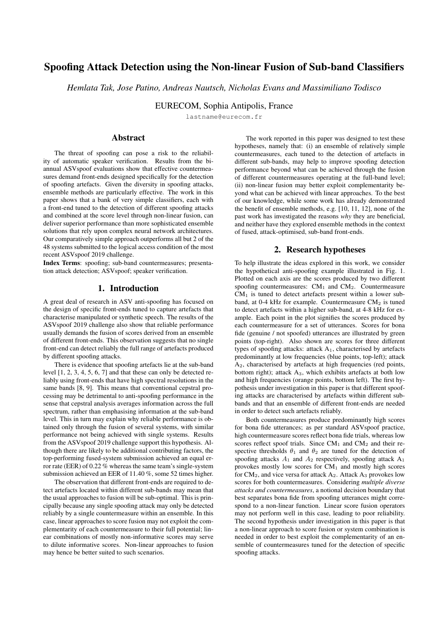<span id="page-3-0"></span>Table 2: *Results in terms of min t-DCF for development (A01-A06) and evaluation (A07-A19) partitions and respective pooled min t-DCF (P1) and pooled EER (P2). Results in boldface signify the attack for which each sub-band is optimised, e.g. the CM designed for attack A01 operates within a sub-band of 2011 to 6403 Hz.*

| Freq-bands A01 A02 A03 A04 A05 A06 P1 P2 A07 A08 A09 A10 A11 A12 A13 A14 A15 A16 A17 A18 A19 P1 P2                                                                                                                                                          |  |  |  |  |  |  |  |  |  |  |  |  |
|-------------------------------------------------------------------------------------------------------------------------------------------------------------------------------------------------------------------------------------------------------------|--|--|--|--|--|--|--|--|--|--|--|--|
| 2011-6403 0.00 0.00 0.00 0.22 0.25 0.79 0.25 0.11 0.37 0.03 0.00 0.55 0.03 0.18 0.31 0.17 0.15 0.25 0.41 0.60 0.93 0.34 13.28                                                                                                                               |  |  |  |  |  |  |  |  |  |  |  |  |
| 2410-5604 0.00 0.00 0.00 0.31 0.42 0.91 0.33 0.13 0.35 0.06 0.00 0.54 0.08 0.23 0.31 0.16 0.16 0.33 0.58 0.87 0.99 0.39 15.50                                                                                                                               |  |  |  |  |  |  |  |  |  |  |  |  |
| 2011-5604 0.00 0.00 0.00 0.27 0.31 0.82 0.29 0.12 0.37 0.06 0.00 0.56 0.08 0.22 0.28 0.18 0.17 0.30 0.48 0.81 0.99 0.38 14.75                                                                                                                               |  |  |  |  |  |  |  |  |  |  |  |  |
| 3209-8000 0.00 0.00 0.00 0.00 0.15 0.00 0.03 0.01 0.00 0.00 0.00 0.54 0.00 0.41 0.71 0.10 0.23 0.00 0.47 0.29 0.00 0.26 10.59                                                                                                                               |  |  |  |  |  |  |  |  |  |  |  |  |
| $15.62 - 4806 \mid 0.00 \mid 0.00 \mid 0.00 \mid 0.16 \mid 0.00 \mid 0.51 \mid 0.18 \mid 0.08 \mid 0.45 \mid 0.01 \mid 0.00 \mid 0.54 \mid 0.07 \mid 0.09 \mid 0.09 \mid 0.12 \mid 0.13 \mid 0.16 \mid 0.33 \mid 0.60 \mid 0.85 \mid 0.31 \mid 12.31$       |  |  |  |  |  |  |  |  |  |  |  |  |
| $3608-8000$ $(0.00 \ 0.00 \ 0.00 \ 0.00 \ 0.012 \ 0.00)$ $(0.04 \ 0.01)$ $(0.00 \ 0.00 \ 0.00 \ 0.00 \ 0.55 \ 0.00 \ 0.40 \ 0.79 \ 0.09 \ 0.31 \ 0.00 \ 0.55 \ 0.24 \ 0.00)$ $(0.27 \ 11.55 \ 0.00 \ 0.00 \ 0.00 \ 0.00 \ 0.00 \ 0.00 \ 0.00 \ 0.00 \ 0.00$ |  |  |  |  |  |  |  |  |  |  |  |  |
| full-band $(0.00\ 0.00\ 0.00\ 0.00\ 0.00\ 0.00\ 0.00\ 0.00\ 0.00\ 0.00\ 0.00\ 0.00\ 0.00\ 0.015\ 0.00\ 0.11\ 0.07\ 0.06\ 0.06\ 0.00\ 0.35\ 0.07\ 0.00\ 0.09\ 03.50$                                                                                         |  |  |  |  |  |  |  |  |  |  |  |  |

<span id="page-3-1"></span>Table 3: *Performance for the ASVspoof 2019 evaluation partition in terms of pooled min t-DCF and pooled EER for top-performing systems (T05, T45, T60 and T24), four different approaches to fusion (boldface) and baseline systems (B1, B2).*

| System                                 | min-tDCF | EER  |
|----------------------------------------|----------|------|
| T <sub>05</sub>                        | 0.0069   | 0.22 |
| T <sub>45</sub> [30]                   | 0.0510   | 1.86 |
| <b>GMM</b> fusion                      | 0.0740   | 2.92 |
| <b>SVM</b> fusion (polynomial kernel)  | 0.0748   | 2.92 |
| T60 [11]                               | 0.0755   | 2.64 |
| Optimised LFCC (full-band)             | 0.0904   | 3.50 |
| <b>Linear fusion</b>                   | 0.0911   | 3.38 |
| T <sub>24</sub>                        | 0.0953   | 3.45 |
| Multinomial logistic regression fusion | 0.1182   | 4.50 |
| LFCC:B2 [13]                           | 0.2116   | 8.09 |
| COCC:B1 [13]                           | 0.2366   | 9.57 |

### 5.2. Performance comparison and discussion

Table [3](#page-3-1) also shows results for the two ASVspoof 2019 baseline systems (B1 and B2, last two rows) and the top-performing four (out of 48 submissions) challenge results [\[13\]](#page-4-12). The latter are signified by their anonymous ASVspoof 2019 identifiers T05, T45, T60 and T24 [\[13\]](#page-4-12). Only T45 [\[30\]](#page-4-29) and T60 [\[11\]](#page-4-10) system details are in the public domain but from these and the description of the ASVspoof 2019 challenge in [\[13\]](#page-4-12), it is known that all four of these competing systems are based upon an ensemble of comparatively complex neural network based architectures, as opposed to a simple GMM-based solution used in our work. Furthermore, they used a combination of *multiple, different* front-end parameterisations, unlike the use of the *single, same* base front-end used in our work. While we acknowledge that this comparison is between evaluation and post-evaluation results, both non-linear GMM-based and SVM approaches to fusion outperform all but two of the 48 competing systems. Even though the gap is not substantial, the two linear approaches to fusion are outperformed by the two non-linear approaches.

## 6. Conclusions

The work reported in this paper investigated whether spoofing attacks leave sub-band artefacts that require specific spoofing countermeasures for detection. In addition, it sought to determine whether non-linear fusion approaches offer better potential to combine the scores produced by ensemble of sub-band classifiers. Extending our prior work, we used a high-resolution base front-end that is adapted using a crude center of mass technique to identify 6 different, additional sub-band front-ends, all of which are used with a GMM-based back-end that is relearned for each feature set. Fusion was performed with a variety of different techniques, both linear and non-linear.

Excellent results obtained using a high-resolution, fullband classifier alone demonstrate the importance of the frontend. This finding could be beneficial to other anti-spoofing researchers that use neural networks with standard, low-resolution front-ends. A switch to high-resolution front-ends may improve performance; even advanced neural network solutions cannot recover information that is already lost, e.g. in spectro-temporal decomposition. Our results also show that sub-band classifiers can detect reliably all attacks in the development data upon which sub-bands classifiers were learned. Even though evaluation results are far less promising, fusion results still show that the use of sub-band classifiers helps to improve performance beyond what can be achieved with a full-band classifier alone and that non-linear fusion outperforms linear fusion.

Despite its simplicity, our approach outperforms all but two competing challenge systems. Noting that our approach is learned used only training data and not combined training and development data, as was permitted by ASVspoof 2019 rules, noting also that we did not optimise the approach used for sub-band selection nor tackle spectral overlap in any way, this is a particularly satisfactory result. Other experiments for which we do not have the space to report lend further support to our approach. Leave-one-out fusion experiments showed the consistent benefit of sub-band classifiers and non-linear fusion. Also, the use of linearly partitioned sub-bands in an otherwise identical setup gave worse performance and show the merit of attack-specific sub-bands, a finding supported by other authors in concurrent work [\[31\]](#page-4-30), albeit for replay spoofing attacks.

Our future work will investigate non-linear probabilistic linear discriminant analysis back-end techniques; linear approaches which assume matching within-class co-variance proved unsuccessful since the within-class co-variance of bona fide and spoofed data is different. Score normalisation before fusion could also be explored as a means to improve performance using linear fusion. Another natural extension is to explore the use of high-resolution and sub-band front-ends with neural network based architectures. The goal of this work would be to see if localised spectral information is being used in the same way and hence to improve upon the interpretability and explainability of complex neural network techniques.

# 7. Acknowledgements

The work was partially supported by the Voice Personae and RESPECT projects, both funded by the French Agence Nationale de la Recherche (ANR).